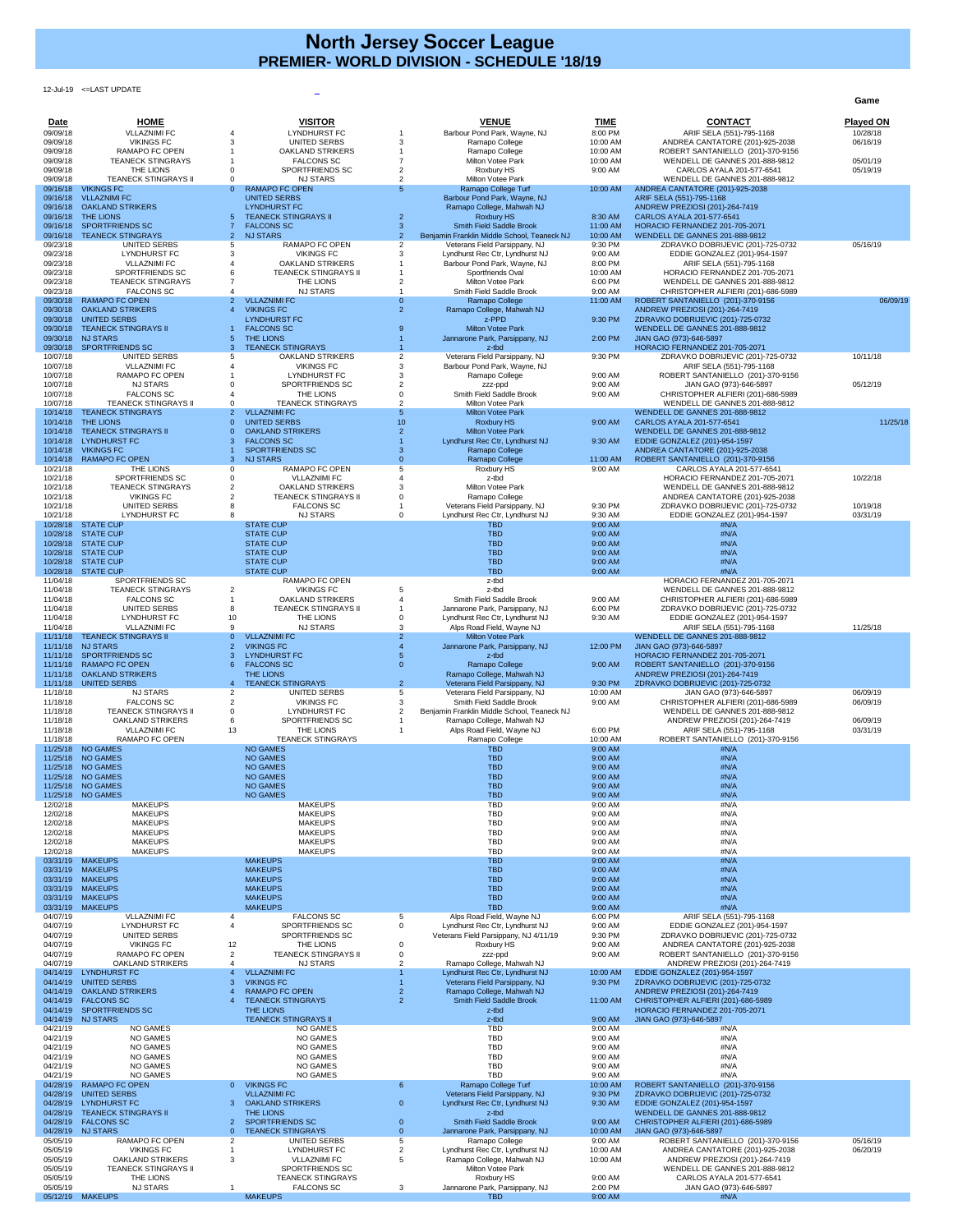12-Jul-19 <=LAST UPDATE

**Game**

| Date                 | <b>HOME</b>                                          | <b>VISITOR</b>                                             |                | <b>VENUE</b>                                                                 | TIME                | <b>CONTACT</b>                                                              | <u>Played ON</u>     |
|----------------------|------------------------------------------------------|------------------------------------------------------------|----------------|------------------------------------------------------------------------------|---------------------|-----------------------------------------------------------------------------|----------------------|
| 09/09/18<br>09/09/18 | <b>VLLAZNIMI FC</b><br><b>VIKINGS FC</b>             | <b>LYNDHURST FC</b><br><b>UNITED SERBS</b>                 |                | Barbour Pond Park, Wayne, NJ<br>Ramapo College                               | 8:00 PM<br>10:00 AM | ARIF SELA (551)-795-1168<br>ANDREA CANTATORE (201)-925-2038                 | 10/28/18<br>06/16/19 |
| 09/09/18             | RAMAPO FC OPEN                                       | <b>OAKLAND STRIKERS</b>                                    |                | Ramapo College                                                               | 10:00 AM            | ROBERT SANTANIELLO (201)-370-9156                                           |                      |
| 09/09/18<br>09/09/18 | <b>TEANECK STINGRAYS</b><br>THE LIONS                | <b>FALCONS SC</b><br>SPORTFRIENDS SC                       |                | <b>Milton Votee Park</b><br>Roxbury HS                                       | 10:00 AM<br>9:00 AM | <b>WENDELL DE GANNES 201-888-9812</b><br>CARLOS AYALA 201-577-6541          | 05/01/19<br>05/19/19 |
| 09/09/18             | <b>TEANECK STINGRAYS II</b>                          | <b>NJ STARS</b>                                            |                | Milton Votee Park                                                            |                     | WENDELL DE GANNES 201-888-9812                                              |                      |
| 09/16/18<br>09/16/18 | <b>VIKINGS FC</b><br><b>VLLAZNIMI FC</b>             | <b>RAMAPO FC OPEN</b><br>$\Omega$<br><b>UNITED SERBS</b>   |                | Ramapo College Turf<br>Barbour Pond Park, Wayne, NJ                          | 10:00 AM            | ANDREA CANTATORE (201)-925-2038<br>ARIF SELA (551)-795-1168                 |                      |
| 09/16/18<br>09/16/18 | <b>OAKLAND STRIKERS</b><br>THE LIONS                 | <b>LYNDHURST FC</b><br><b>TEANECK STINGRAYS II</b>         |                | Ramapo College, Mahwah NJ                                                    |                     | ANDREW PREZIOSI (201)-264-7419                                              |                      |
| 09/16/18             | <b>SPORTFRIENDS SC</b>                               | <b>FALCONS SC</b>                                          | з              | <b>Roxbury HS</b><br><b>Smith Field Saddle Brook</b>                         | 8:30 AM<br>11:00 AM | CARLOS AYALA 201-577-6541<br>HORACIO FERNANDEZ 201-705-2071                 |                      |
| 09/16/18<br>09/23/18 | <b>TEANECK STINGRAYS</b><br><b>UNITED SERBS</b>      | <b>NJ STARS</b><br>2 <sup>1</sup><br><b>RAMAPO FC OPEN</b> |                | Benjamin Franklin Middle School, Teaneck NJ<br>Veterans Field Parsippany, NJ | 10:00 AM<br>9:30 PM | <b>WENDELL DE GANNES 201-888-9812</b><br>ZDRAVKO DOBRIJEVIC (201)-725-0732  | 05/16/19             |
| 09/23/18             | <b>LYNDHURST FC</b>                                  | <b>VIKINGS FC</b>                                          |                | Lyndhurst Rec Ctr, Lyndhurst NJ                                              | 9:00 AM             | EDDIE GONZALEZ (201)-954-1597                                               |                      |
| 09/23/18<br>09/23/18 | <b>VLLAZNIMI FC</b><br>SPORTFRIENDS SC               | <b>OAKLAND STRIKERS</b><br><b>TEANECK STINGRAYS II</b>     |                | Barbour Pond Park, Wayne, NJ<br>Sportfriends Oval                            | 8:00 PM<br>10:00 AM | ARIF SELA (551)-795-1168<br>HORACIO FERNANDEZ 201-705-2071                  |                      |
| 09/23/18             | <b>TEANECK STINGRAYS</b>                             | THE LIONS                                                  |                | <b>Milton Votee Park</b>                                                     | 6:00 PM             | <b>WENDELL DE GANNES 201-888-9812</b>                                       |                      |
| 09/23/18<br>09/30/18 | <b>FALCONS SC</b><br><b>RAMAPO FC OPEN</b>           | <b>NJ STARS</b><br><b>VLLAZNIMI FC</b><br>2                |                | Smith Field Saddle Brook<br>Ramapo College                                   | 9:00 AM<br>11:00 AM | CHRISTOPHER ALFIERI (201)-686-5989<br>ROBERT SANTANIELLO (201)-370-9156     | 06/09/19             |
| 09/30/18             | <b>OAKLAND STRIKERS</b>                              | <b>VIKINGS FC</b>                                          |                | Ramapo College, Mahwah NJ                                                    |                     | ANDREW PREZIOSI (201)-264-7419                                              |                      |
| 09/30/18<br>09/30/18 | <b>UNITED SERBS</b><br><b>TEANECK STINGRAYS II</b>   | <b>LYNDHURST FC</b><br><b>FALCONS SC</b>                   |                | z-PPD<br><b>Milton Votee Park</b>                                            | 9:30 PM             | ZDRAVKO DOBRIJEVIC (201)-725-0732<br><b>WENDELL DE GANNES 201-888-9812</b>  |                      |
| 09/30/18             | <b>NJ STARS</b>                                      | <b>THE LIONS</b>                                           |                | Jannarone Park, Parsippany, NJ                                               | 2:00 PM             | JIAN GAO (973)-646-5897                                                     |                      |
| 09/30/18<br>10/07/18 | <b>SPORTFRIENDS SC</b><br><b>UNITED SERBS</b>        | <b>TEANECK STINGRAYS</b><br><b>OAKLAND STRIKERS</b>        |                | z-tbd<br>Veterans Field Parsippany, NJ                                       | 9:30 PM             | HORACIO FERNANDEZ 201-705-2071<br>ZDRAVKO DOBRIJEVIC (201)-725-0732         | 10/11/18             |
| 10/07/18             | <b>VLLAZNIMI FC</b>                                  | <b>VIKINGS FC</b>                                          |                | Barbour Pond Park, Wayne, NJ                                                 |                     | ARIF SELA (551)-795-1168                                                    |                      |
| 10/07/18<br>10/07/18 | <b>RAMAPO FC OPEN</b><br><b>NJ STARS</b>             | LYNDHURST FC<br>SPORTFRIENDS SC                            |                | Ramapo College<br>zzz-ppd                                                    | 9:00 AM<br>9:00 AM  | ROBERT SANTANIELLO (201)-370-9156<br>JIAN GAO (973)-646-5897                | 05/12/19             |
| 10/07/18<br>10/07/18 | <b>FALCONS SC</b><br><b>TEANECK STINGRAYS II</b>     | THE LIONS<br><b>TEANECK STINGRAYS</b>                      |                | Smith Field Saddle Brook<br>Milton Votee Park                                | 9:00 AM             | CHRISTOPHER ALFIERI (201)-686-5989<br><b>WENDELL DE GANNES 201-888-9812</b> |                      |
| 10/14/18             | <b>TEANECK STINGRAYS</b>                             | <b>VLLAZNIMI FC</b>                                        |                | <b>Milton Votee Park</b>                                                     |                     | <b>WENDELL DE GANNES 201-888-9812</b>                                       |                      |
| 10/14/18<br>10/14/18 | THE LIONS<br><b>TEANECK STINGRAYS II</b>             | <b>UNITED SERBS</b><br><b>OAKLAND STRIKERS</b>             | 10             | <b>Roxbury HS</b><br><b>Milton Votee Park</b>                                | 9:00 AM             | CARLOS AYALA 201-577-6541<br><b>WENDELL DE GANNES 201-888-9812</b>          | 11/25/18             |
|                      | 10/14/18 LYNDHURST FC                                | <b>FALCONS SC</b>                                          |                | Lyndhurst Rec Ctr, Lyndhurst NJ                                              | 9:30 AM             | EDDIE GONZALEZ (201)-954-1597                                               |                      |
| 10/14/18             | 10/14/18 VIKINGS FC<br><b>RAMAPO FC OPEN</b>         | <b>SPORTFRIENDS SC</b><br><b>NJ STARS</b><br>З.            |                | Ramapo College<br>Ramapo College                                             | 11:00 AM            | ANDREA CANTATORE (201)-925-2038<br>ROBERT SANTANIELLO (201)-370-9156        |                      |
| 10/21/18             | THE LIONS                                            | <b>RAMAPO FC OPEN</b>                                      |                | Roxbury HS                                                                   | 9:00 AM             | CARLOS AYALA 201-577-6541                                                   |                      |
| 10/21/18<br>10/21/18 | SPORTFRIENDS SC<br><b>TEANECK STINGRAYS</b>          | <b>VLLAZNIMI FC</b><br><b>OAKLAND STRIKERS</b>             |                | z-tbd<br><b>Milton Votee Park</b>                                            |                     | HORACIO FERNANDEZ 201-705-2071<br><b>WENDELL DE GANNES 201-888-9812</b>     | 10/22/18             |
| 10/21/18             | <b>VIKINGS FC</b>                                    | <b>TEANECK STINGRAYS II</b>                                |                | Ramapo College                                                               |                     | ANDREA CANTATORE (201)-925-2038                                             |                      |
| 10/21/18<br>10/21/18 | <b>UNITED SERBS</b><br><b>LYNDHURST FC</b>           | <b>FALCONS SC</b><br><b>NJ STARS</b>                       |                | Veterans Field Parsippany, NJ<br>Lyndhurst Rec Ctr, Lyndhurst NJ             | 9:30 PM<br>9:30 AM  | ZDRAVKO DOBRIJEVIC (201)-725-0732<br>EDDIE GONZALEZ (201)-954-1597          | 10/19/18<br>03/31/19 |
| 10/28/18             | <b>STATE CUP</b>                                     | <b>STATE CUP</b>                                           |                | <b>TBD</b>                                                                   | 9:00 AM             | #N/A                                                                        |                      |
| 10/28/18             | <b>STATE CUP</b><br>10/28/18 STATE CUP               | <b>STATE CUP</b><br><b>STATE CUP</b>                       |                | <b>TBD</b><br><b>TBD</b>                                                     | 9:00 AM<br>9:00 AM  | #N/A<br>#N/A                                                                |                      |
|                      | 10/28/18 STATE CUP                                   | <b>STATE CUP</b>                                           |                | <b>TBD</b>                                                                   | 9:00 AM             | #N/A                                                                        |                      |
|                      | 10/28/18 STATE CUP<br>10/28/18 STATE CUP             | <b>STATE CUP</b><br><b>STATE CUP</b>                       |                | <b>TBD</b><br><b>TBD</b>                                                     | 9:00 AM<br>9:00 AM  | #N/A<br>#N/A                                                                |                      |
| 11/04/18             | SPORTFRIENDS SC<br><b>TEANECK STINGRAYS</b>          | <b>RAMAPO FC OPEN</b><br><b>VIKINGS FC</b>                 |                | z-tbd<br>z-tbd                                                               |                     | HORACIO FERNANDEZ 201-705-2071<br><b>WENDELL DE GANNES 201-888-9812</b>     |                      |
| 11/04/18<br>11/04/18 | <b>FALCONS SC</b>                                    | 2<br><b>OAKLAND STRIKERS</b>                               |                | Smith Field Saddle Brook                                                     | 9:00 AM             | CHRISTOPHER ALFIERI (201)-686-5989                                          |                      |
| 11/04/18<br>11/04/18 | <b>UNITED SERBS</b><br><b>LYNDHURST FC</b>           | <b>TEANECK STINGRAYS II</b><br>THE LIONS<br>10             |                | Jannarone Park, Parsippany, NJ<br>Lyndhurst Rec Ctr, Lyndhurst NJ            | 6:00 PM<br>9:30 AM  | ZDRAVKO DOBRIJEVIC (201)-725-0732<br>EDDIE GONZALEZ (201)-954-1597          |                      |
| 11/04/18             | <b>VLLAZNIMI FC</b>                                  | <b>NJ STARS</b>                                            |                | Alps Road Field, Wayne NJ                                                    |                     | ARIF SELA (551)-795-1168                                                    | 11/25/18             |
| 11/11/18<br>11/11/18 | <b>TEANECK STINGRAYS II</b><br><b>NJ STARS</b>       | <b>VLLAZNIMI FC</b><br>$\Omega$<br><b>VIKINGS FC</b><br>2  |                | <b>Milton Votee Park</b><br>Jannarone Park, Parsippany, NJ                   | 12:00 PM            | <b>WENDELL DE GANNES 201-888-9812</b><br>JIAN GAO (973)-646-5897            |                      |
| 11/11/18             | <b>SPORTFRIENDS SC</b>                               | <b>LYNDHURST FC</b>                                        |                | z-tbd                                                                        |                     | HORACIO FERNANDEZ 201-705-2071                                              |                      |
| 11/11/18<br>11/11/18 | <b>RAMAPO FC OPEN</b><br><b>OAKLAND STRIKERS</b>     | <b>FALCONS SC</b><br>THE LIONS                             |                | Ramapo College<br>Ramapo College, Mahwah NJ                                  | 9:00 AM             | ROBERT SANTANIELLO (201)-370-9156<br>ANDREW PREZIOSI (201)-264-7419         |                      |
| 11/11/18             | <b>UNITED SERBS</b>                                  | <b>TEANECK STINGRAYS</b>                                   | $\overline{2}$ | Veterans Field Parsippany, NJ                                                | 9:30 PM             | ZDRAVKO DOBRIJEVIC (201)-725-0732                                           |                      |
| 11/18/18<br>11/18/18 | <b>NJ STARS</b><br><b>FALCONS SC</b>                 | <b>UNITED SERBS</b><br><b>VIKINGS FC</b>                   |                | Veterans Field Parsippany, NJ<br>Smith Field Saddle Brook                    | 10:00 AM<br>9:00 AM | JIAN GAO (973)-646-5897<br>CHRISTOPHER ALFIERI (201)-686-5989               | 06/09/19<br>06/09/19 |
| 11/18/18             | <b>TEANECK STINGRAYS II</b>                          | <b>LYNDHURST FC</b>                                        |                | Benjamin Franklin Middle School, Teaneck NJ                                  |                     | WENDELL DE GANNES 201-888-9812                                              |                      |
| 11/18/18<br>11/18/18 | <b>OAKLAND STRIKERS</b><br><b>VLLAZNIMI FC</b>       | SPORTFRIENDS SC<br>THE LIONS<br>13                         |                | Ramapo College, Mahwah NJ<br>Alps Road Field, Wayne NJ                       | 6:00 PM             | ANDREW PREZIOSI (201)-264-7419<br>ARIF SELA (551)-795-1168                  | 06/09/19<br>03/31/19 |
| 11/18/18             | RAMAPO FC OPEN                                       | <b>TEANECK STINGRAYS</b>                                   |                | Ramapo College                                                               | 10:00 AM            | ROBERT SANTANIELLO (201)-370-9156                                           |                      |
| 11/25/18<br>11/25/18 | <b>NO GAMES</b><br><b>NO GAMES</b>                   | <b>NO GAMES</b><br><b>NO GAMES</b>                         |                | <b>TBD</b><br><b>TBD</b>                                                     | 9:00 AM<br>9:00 AM  | #N/A<br>#N/A                                                                |                      |
| 11/25/18             | <b>NO GAMES</b><br>11/25/18 NO GAMES                 | <b>NO GAMES</b><br><b>NO GAMES</b>                         |                | <b>TBD</b><br><b>TBD</b>                                                     | 9:00 AM<br>9:00 AM  | #N/A<br>#N/A                                                                |                      |
|                      | 11/25/18 NO GAMES                                    | <b>NO GAMES</b>                                            |                | <b>TBD</b>                                                                   | 9:00 AM             | $\#N/A$                                                                     |                      |
| 11/25/18<br>12/02/18 | <b>NO GAMES</b><br><b>MAKEUPS</b>                    | <b>NO GAMES</b><br><b>MAKEUPS</b>                          |                | <b>TBD</b><br><b>TBD</b>                                                     | 9:00 AM<br>9:00 AM  | #N/A<br>#N/A                                                                |                      |
| 12/02/18             | <b>MAKEUPS</b>                                       | <b>MAKEUPS</b>                                             |                | <b>TBD</b>                                                                   | 9:00 AM             | #N/A                                                                        |                      |
| 12/02/18<br>12/02/18 | <b>MAKEUPS</b><br><b>MAKEUPS</b>                     | <b>MAKEUPS</b><br><b>MAKEUPS</b>                           |                | <b>TBD</b><br><b>TBD</b>                                                     | 9:00 AM<br>9:00 AM  | #N/A<br>#N/A                                                                |                      |
| 12/02/18             | <b>MAKEUPS</b>                                       | <b>MAKEUPS</b>                                             |                | <b>TBD</b>                                                                   | 9:00 AM             | #N/A                                                                        |                      |
| 12/02/18<br>03/31/19 | <b>MAKEUPS</b><br><b>MAKEUPS</b>                     | <b>MAKEUPS</b><br><b>MAKEUPS</b>                           |                | <b>TBD</b><br><b>TBD</b>                                                     | 9:00 AM<br>9:00 AM  | #N/A<br>#N/A                                                                |                      |
| 03/31/19             | <b>MAKEUPS</b>                                       | <b>MAKEUPS</b>                                             |                | <b>TBD</b>                                                                   | 9:00 AM             | #N/A                                                                        |                      |
| 03/31/19             | 03/31/19 MAKEUPS<br><b>MAKEUPS</b>                   | <b>MAKEUPS</b><br><b>MAKEUPS</b>                           |                | <b>TBD</b><br><b>TBD</b>                                                     | 9:00 AM<br>9:00 AM  | #N/A<br>#N/A                                                                |                      |
| 03/31/19<br>03/31/19 | <b>MAKEUPS</b><br><b>MAKEUPS</b>                     | <b>MAKEUPS</b><br><b>MAKEUPS</b>                           |                | <b>TBD</b><br><b>TBD</b>                                                     | 9:00 AM<br>9:00 AM  | #N/A<br>#N/A                                                                |                      |
| 04/07/19             | <b>VLLAZNIMI FC</b>                                  | <b>FALCONS SC</b>                                          | 5              | Alps Road Field, Wayne NJ                                                    | 6:00 PM             | ARIF SELA (551)-795-1168                                                    |                      |
| 04/07/19<br>04/07/19 | <b>LYNDHURST FC</b><br><b>UNITED SERBS</b>           | SPORTFRIENDS SC<br>SPORTFRIENDS SC                         | $\Omega$       | Lyndhurst Rec Ctr, Lyndhurst NJ<br>Veterans Field Parsippany, NJ 4/11/19     | 9:00 AM<br>9:30 PM  | EDDIE GONZALEZ (201)-954-1597<br>ZDRAVKO DOBRIJEVIC (201)-725-0732          |                      |
| 04/07/19             | <b>VIKINGS FC</b>                                    | THE LIONS<br>12                                            |                | Roxbury HS                                                                   | 9:00 AM             | ANDREA CANTATORE (201)-925-2038                                             |                      |
| 04/07/19<br>04/07/19 | RAMAPO FC OPEN<br><b>OAKLAND STRIKERS</b>            | <b>TEANECK STINGRAYS II</b><br><b>NJ STARS</b>             |                | zzz-ppd<br>Ramapo College, Mahwah NJ                                         | 9:00 AM             | ROBERT SANTANIELLO (201)-370-9156<br>ANDREW PREZIOSI (201)-264-7419         |                      |
| 04/14/19             | <b>LYNDHURST FC</b>                                  | <b>VLLAZNIMI FC</b>                                        |                | Lyndhurst Rec Ctr, Lyndhurst NJ                                              | 10:00 AM            | EDDIE GONZALEZ (201)-954-1597                                               |                      |
| 04/14/19             | <b>UNITED SERBS</b><br>04/14/19 OAKLAND STRIKERS     | <b>VIKINGS FC</b><br><b>RAMAPO FC OPEN</b>                 |                | Veterans Field Parsippany, NJ<br>Ramapo College, Mahwah NJ                   | 9:30 PM             | ZDRAVKO DOBRIJEVIC (201)-725-0732<br>ANDREW PREZIOSI (201)-264-7419         |                      |
| 04/14/19             | <b>FALCONS SC</b>                                    | <b>TEANECK STINGRAYS</b>                                   |                | <b>Smith Field Saddle Brook</b>                                              | 11:00 AM            | CHRISTOPHER ALFIERI (201)-686-5989                                          |                      |
| 04/14/19             | <b>SPORTFRIENDS SC</b><br>04/14/19 NJ STARS          | THE LIONS<br><b>TEANECK STINGRAYS II</b>                   |                | z-tbd<br>z-tbd                                                               | 9:00 AM             | HORACIO FERNANDEZ 201-705-2071<br>JIAN GAO (973)-646-5897                   |                      |
| 04/21/19             | <b>NO GAMES</b>                                      | <b>NO GAMES</b>                                            |                | <b>TBD</b>                                                                   | 9:00 AM             | #N/A                                                                        |                      |
| 04/21/19<br>04/21/19 | <b>NO GAMES</b><br><b>NO GAMES</b>                   | <b>NO GAMES</b><br><b>NO GAMES</b>                         |                | <b>TBD</b><br><b>TBD</b>                                                     | 9:00 AM<br>9:00 AM  | #N/A<br>#N/A                                                                |                      |
| 04/21/19             | <b>NO GAMES</b>                                      | NO GAMES                                                   |                | <b>TBD</b>                                                                   | 9:00 AM             | #N/A                                                                        |                      |
| 04/21/19<br>04/21/19 | <b>NO GAMES</b><br><b>NO GAMES</b>                   | <b>NO GAMES</b><br><b>NO GAMES</b>                         |                | <b>TBD</b><br><b>TBD</b>                                                     | 9:00 AM<br>9:00 AM  | #N/A<br>#N/A                                                                |                      |
| 04/28/19             | <b>RAMAPO FC OPEN</b><br>04/28/19 UNITED SERBS       | <b>VIKINGS FC</b>                                          | 6              | Ramapo College Turf                                                          | 10:00 AM            | ROBERT SANTANIELLO (201)-370-9156                                           |                      |
|                      | 04/28/19 LYNDHURST FC                                | <b>VLLAZNIMI FC</b><br><b>OAKLAND STRIKERS</b>             | 0              | Veterans Field Parsippany, NJ<br>Lyndhurst Rec Ctr, Lyndhurst NJ             | 9:30 PM<br>9:30 AM  | ZDRAVKO DOBRIJEVIC (201)-725-0732<br>EDDIE GONZALEZ (201)-954-1597          |                      |
|                      | 04/28/19 TEANECK STINGRAYS II<br>04/28/19 FALCONS SC | THE LIONS<br><b>SPORTFRIENDS SC</b>                        | O.             | z-tbd<br><b>Smith Field Saddle Brook</b>                                     | 9:00 AM             | WENDELL DE GANNES 201-888-9812<br>CHRISTOPHER ALFIERI (201)-686-5989        |                      |
|                      | 04/28/19 NJ STARS                                    | <b>TEANECK STINGRAYS</b><br>$\Omega$                       |                | Jannarone Park, Parsippany, NJ                                               | 10:00 AM            | JIAN GAO (973)-646-5897                                                     |                      |
| 05/05/19<br>05/05/19 | RAMAPO FC OPEN<br><b>VIKINGS FC</b>                  | <b>UNITED SERBS</b><br>2<br><b>LYNDHURST FC</b>            |                | Ramapo College<br>Lyndhurst Rec Ctr, Lyndhurst NJ                            | 9:00 AM<br>10:00 AM | ROBERT SANTANIELLO (201)-370-9156<br>ANDREA CANTATORE (201)-925-2038        | 05/16/19<br>06/20/19 |
| 05/05/19             | <b>OAKLAND STRIKERS</b>                              | 3<br><b>VLLAZNIMI FC</b>                                   |                | Ramapo College, Mahwah NJ                                                    | 10:00 AM            | ANDREW PREZIOSI (201)-264-7419                                              |                      |
| 05/05/19<br>05/05/19 | <b>TEANECK STINGRAYS II</b><br>THE LIONS             | SPORTFRIENDS SC<br><b>TEANECK STINGRAYS</b>                |                | Milton Votee Park<br>Roxbury HS                                              | 9:00 AM             | <b>WENDELL DE GANNES 201-888-9812</b><br>CARLOS AYALA 201-577-6541          |                      |
| 05/05/19             | <b>NJ STARS</b>                                      | <b>FALCONS SC</b>                                          | $\mathbf{3}$   | Jannarone Park, Parsippany, NJ                                               | 2:00 PM             | JIAN GAO (973)-646-5897                                                     |                      |
|                      | 05/12/19 MAKEUPS                                     | <b>MAKEUPS</b>                                             |                | <b>TBD</b>                                                                   | 9:00 AM             | #N/A                                                                        |                      |

## **North Jersey Soccer League PREMIER- WORLD DIVISION - SCHEDULE '18/19**